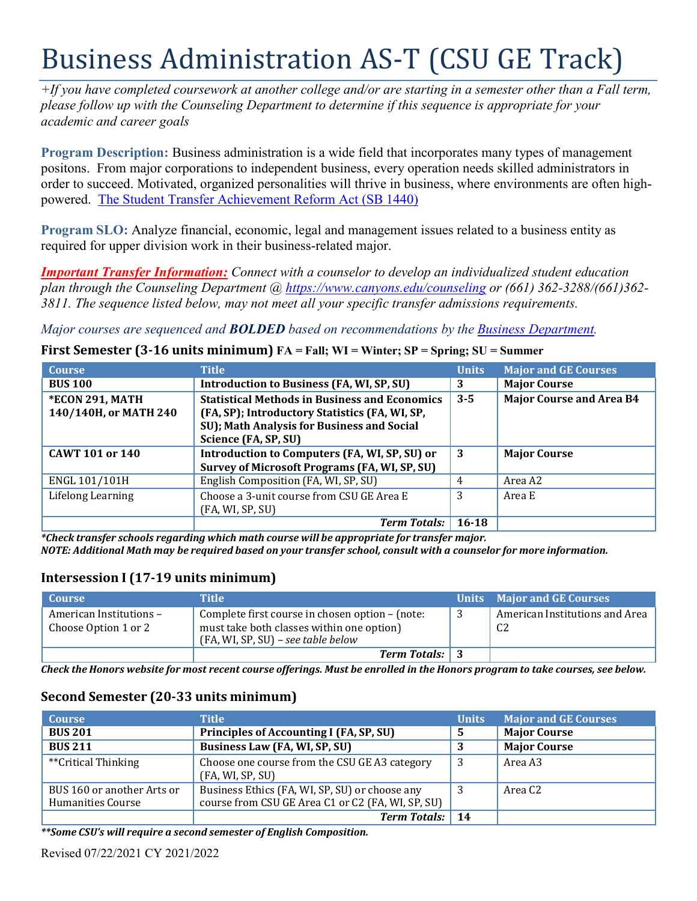# Business Administration AS-T (CSU GE Track)

*+If you have completed coursework at another college and/or are starting in a semester other than a Fall term, please follow up with the Counseling Department to determine if this sequence is appropriate for your academic and career goals*

**Program Description:** Business administration is a wide field that incorporates many types of management positons. From major corporations to independent business, every operation needs skilled administrators in order to succeed. Motivated, organized personalities will thrive in business, where environments are often highpowered. The [Student Transfer](https://www2.calstate.edu/apply/transfer/Pages/ccc-associate-degree-for-transfer.aspx) Achievement Reform Act (SB 1440)

**Program SLO:** Analyze financial, economic, legal and management issues related to a business entity as required for upper division work in their business-related major.

*Important Transfer Information: Connect with a counselor to develop an individualized student education plan through the Counseling Department @<https://www.canyons.edu/counseling> or (661) 362-3288/(661)362- 3811. The sequence listed below, may not meet all your specific transfer admissions requirements.*

*Major courses are sequenced and BOLDED based on recommendations by the [Business Department.](https://www.canyons.edu/academics/schools/business/)*

#### **First Semester (3-16 units minimum) FA = Fall; WI = Winter; SP = Spring; SU = Summer**

| <b>Course</b>          | <b>Title</b>                                                                                 | <b>Units</b> | <b>Major and GE Courses</b>     |
|------------------------|----------------------------------------------------------------------------------------------|--------------|---------------------------------|
| <b>BUS 100</b>         | <b>Introduction to Business (FA, WI, SP, SU)</b>                                             | 3            | <b>Major Course</b>             |
| <b>*ECON 291, MATH</b> | <b>Statistical Methods in Business and Economics</b>                                         | $3 - 5$      | <b>Major Course and Area B4</b> |
| 140/140H, or MATH 240  | (FA, SP); Introductory Statistics (FA, WI, SP,<br>SU); Math Analysis for Business and Social |              |                                 |
|                        | Science (FA, SP, SU)                                                                         |              |                                 |
| <b>CAWT 101 or 140</b> | Introduction to Computers (FA, WI, SP, SU) or                                                | 3            | <b>Major Course</b>             |
|                        | Survey of Microsoft Programs (FA, WI, SP, SU)                                                |              |                                 |
| ENGL 101/101H          | English Composition (FA, WI, SP, SU)                                                         | 4            | Area A2                         |
| Lifelong Learning      | Choose a 3-unit course from CSU GE Area E                                                    | 3            | Area E                          |
|                        | (FA, WI, SP, SU)                                                                             |              |                                 |
|                        | <b>Term Totals:</b>                                                                          | $16 - 18$    |                                 |

*\*Check transfer schools regarding which math course will be appropriate for transfer major.* NOTE: Additional Math may be required based on your transfer school, consult with a counselor for more information.

### **Intersession I (17-19 units minimum)**

| <b>Course</b>                                   | Title                                                                                                                              | Units Major and GE Courses                       |
|-------------------------------------------------|------------------------------------------------------------------------------------------------------------------------------------|--------------------------------------------------|
| American Institutions -<br>Choose Option 1 or 2 | Complete first course in chosen option – (note:<br>must take both classes within one option)<br>(FA, WI, SP, SU) – see table below | American Institutions and Area<br>C <sub>2</sub> |
|                                                 | <b>Term Totals:</b> 3                                                                                                              |                                                  |

Check the Honors website for most recent course offerings. Must be enrolled in the Honors program to take courses, see below.

# **Second Semester (20-33 units minimum)**

| <b>Course</b>                                   | <b>Title</b>                                                                                        | <b>Units</b> | <b>Major and GE Courses</b> |
|-------------------------------------------------|-----------------------------------------------------------------------------------------------------|--------------|-----------------------------|
| <b>BUS 201</b>                                  | Principles of Accounting I (FA, SP, SU)                                                             | 5            | <b>Major Course</b>         |
| <b>BUS 211</b>                                  | Business Law (FA, WI, SP, SU)                                                                       |              | <b>Major Course</b>         |
| **Critical Thinking                             | Choose one course from the CSU GE A3 category<br>(FA, WI, SP, SU)                                   | 3            | Area A3                     |
| BUS 160 or another Arts or<br>Humanities Course | Business Ethics (FA, WI, SP, SU) or choose any<br>course from CSU GE Area C1 or C2 (FA, WI, SP, SU) |              | Area C <sub>2</sub>         |
|                                                 | <b>Term Totals:</b>                                                                                 | 14           |                             |

*\*\*Some CSU's will require a second semester of English Composition.*

Revised 07/22/2021 CY 2021/2022